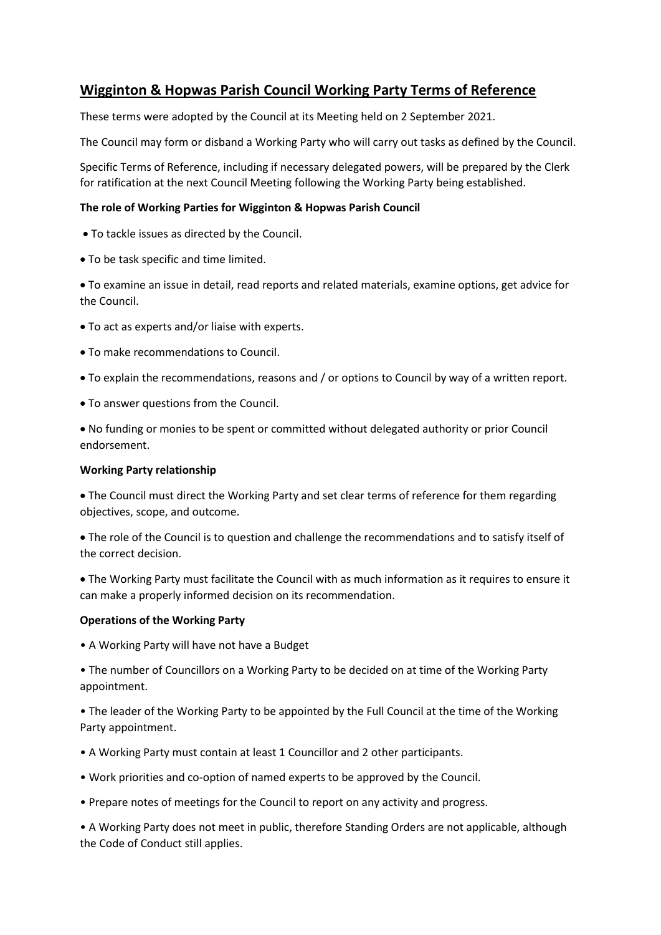## **Wigginton & Hopwas Parish Council Working Party Terms of Reference**

These terms were adopted by the Council at its Meeting held on 2 September 2021.

The Council may form or disband a Working Party who will carry out tasks as defined by the Council.

Specific Terms of Reference, including if necessary delegated powers, will be prepared by the Clerk for ratification at the next Council Meeting following the Working Party being established.

## **The role of Working Parties for Wigginton & Hopwas Parish Council**

• To tackle issues as directed by the Council.

• To be task specific and time limited.

• To examine an issue in detail, read reports and related materials, examine options, get advice for the Council.

- To act as experts and/or liaise with experts.
- To make recommendations to Council.
- To explain the recommendations, reasons and / or options to Council by way of a written report.
- To answer questions from the Council.

• No funding or monies to be spent or committed without delegated authority or prior Council endorsement.

## **Working Party relationship**

• The Council must direct the Working Party and set clear terms of reference for them regarding objectives, scope, and outcome.

• The role of the Council is to question and challenge the recommendations and to satisfy itself of the correct decision.

• The Working Party must facilitate the Council with as much information as it requires to ensure it can make a properly informed decision on its recommendation.

## **Operations of the Working Party**

• A Working Party will have not have a Budget

• The number of Councillors on a Working Party to be decided on at time of the Working Party appointment.

• The leader of the Working Party to be appointed by the Full Council at the time of the Working Party appointment.

- A Working Party must contain at least 1 Councillor and 2 other participants.
- Work priorities and co-option of named experts to be approved by the Council.
- Prepare notes of meetings for the Council to report on any activity and progress.

• A Working Party does not meet in public, therefore Standing Orders are not applicable, although the Code of Conduct still applies.